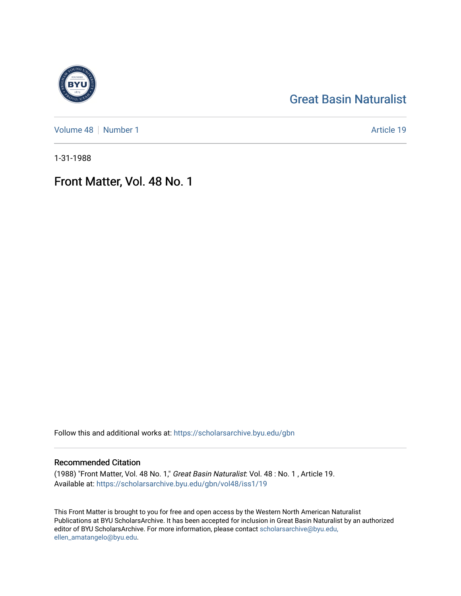## [Great Basin Naturalist](https://scholarsarchive.byu.edu/gbn)

[Volume 48](https://scholarsarchive.byu.edu/gbn/vol48) | [Number 1](https://scholarsarchive.byu.edu/gbn/vol48/iss1) Article 19

1-31-1988

## Front Matter, Vol. 48 No. 1

Follow this and additional works at: [https://scholarsarchive.byu.edu/gbn](https://scholarsarchive.byu.edu/gbn?utm_source=scholarsarchive.byu.edu%2Fgbn%2Fvol48%2Fiss1%2F19&utm_medium=PDF&utm_campaign=PDFCoverPages) 

### Recommended Citation

(1988) "Front Matter, Vol. 48 No. 1," Great Basin Naturalist: Vol. 48 : No. 1 , Article 19. Available at: [https://scholarsarchive.byu.edu/gbn/vol48/iss1/19](https://scholarsarchive.byu.edu/gbn/vol48/iss1/19?utm_source=scholarsarchive.byu.edu%2Fgbn%2Fvol48%2Fiss1%2F19&utm_medium=PDF&utm_campaign=PDFCoverPages) 

This Front Matter is brought to you for free and open access by the Western North American Naturalist Publications at BYU ScholarsArchive. It has been accepted for inclusion in Great Basin Naturalist by an authorized editor of BYU ScholarsArchive. For more information, please contact [scholarsarchive@byu.edu,](mailto:scholarsarchive@byu.edu,%20ellen_amatangelo@byu.edu) [ellen\\_amatangelo@byu.edu](mailto:scholarsarchive@byu.edu,%20ellen_amatangelo@byu.edu).

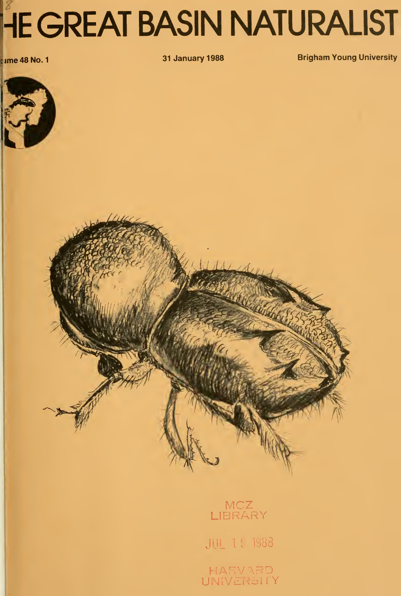# **HE GREAT BASIN NATURALIST**

**cume 48 No. 1** 

31 January 1988 **Brigham Young University** 



MCZ LIBRARY **NATION** JUL l^ 1988 HARVARD UNIVERSITY